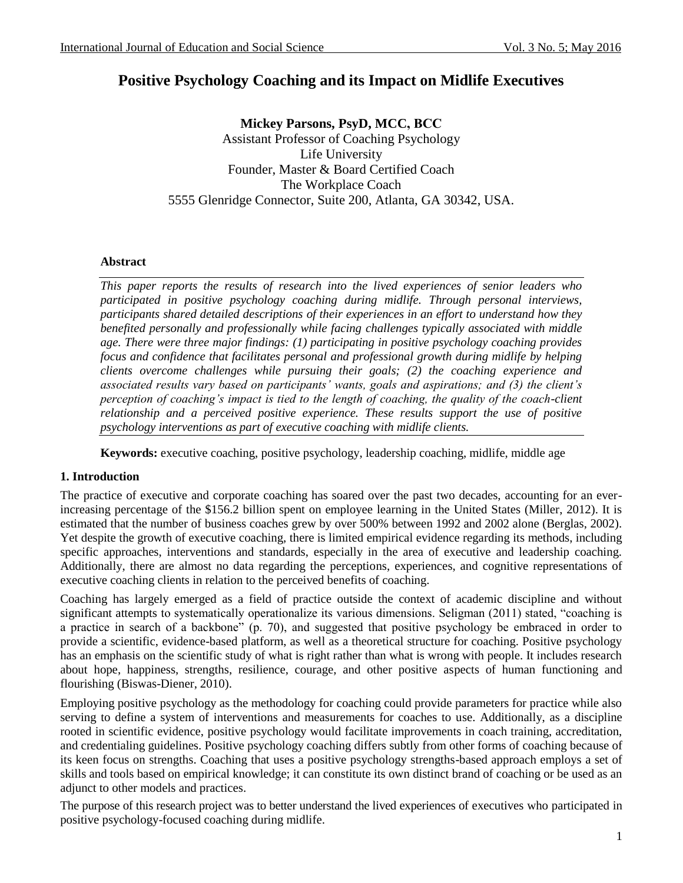# **Positive Psychology Coaching and its Impact on Midlife Executives**

**Mickey Parsons, PsyD, MCC, BCC** Assistant Professor of Coaching Psychology Life University Founder, Master & Board Certified Coach The Workplace Coach 5555 Glenridge Connector, Suite 200, Atlanta, GA 30342, USA.

#### **Abstract**

*This paper reports the results of research into the lived experiences of senior leaders who participated in positive psychology coaching during midlife. Through personal interviews, participants shared detailed descriptions of their experiences in an effort to understand how they benefited personally and professionally while facing challenges typically associated with middle age. There were three major findings: (1) participating in positive psychology coaching provides focus and confidence that facilitates personal and professional growth during midlife by helping clients overcome challenges while pursuing their goals; (2) the coaching experience and associated results vary based on participants' wants, goals and aspirations; and (3) the client's perception of coaching's impact is tied to the length of coaching, the quality of the coach-client relationship and a perceived positive experience. These results support the use of positive psychology interventions as part of executive coaching with midlife clients.* 

**Keywords:** executive coaching, positive psychology, leadership coaching, midlife, middle age

### **1. Introduction**

The practice of executive and corporate coaching has soared over the past two decades, accounting for an everincreasing percentage of the \$156.2 billion spent on employee learning in the United States (Miller, 2012). It is estimated that the number of business coaches grew by over 500% between 1992 and 2002 alone (Berglas, 2002). Yet despite the growth of executive coaching, there is limited empirical evidence regarding its methods, including specific approaches, interventions and standards, especially in the area of executive and leadership coaching. Additionally, there are almost no data regarding the perceptions, experiences, and cognitive representations of executive coaching clients in relation to the perceived benefits of coaching.

Coaching has largely emerged as a field of practice outside the context of academic discipline and without significant attempts to systematically operationalize its various dimensions. Seligman (2011) stated, "coaching is a practice in search of a backbone" (p. 70), and suggested that positive psychology be embraced in order to provide a scientific, evidence-based platform, as well as a theoretical structure for coaching. Positive psychology has an emphasis on the scientific study of what is right rather than what is wrong with people. It includes research about hope, happiness, strengths, resilience, courage, and other positive aspects of human functioning and flourishing (Biswas-Diener, 2010).

Employing positive psychology as the methodology for coaching could provide parameters for practice while also serving to define a system of interventions and measurements for coaches to use. Additionally, as a discipline rooted in scientific evidence, positive psychology would facilitate improvements in coach training, accreditation, and credentialing guidelines. Positive psychology coaching differs subtly from other forms of coaching because of its keen focus on strengths. Coaching that uses a positive psychology strengths-based approach employs a set of skills and tools based on empirical knowledge; it can constitute its own distinct brand of coaching or be used as an adjunct to other models and practices.

The purpose of this research project was to better understand the lived experiences of executives who participated in positive psychology-focused coaching during midlife.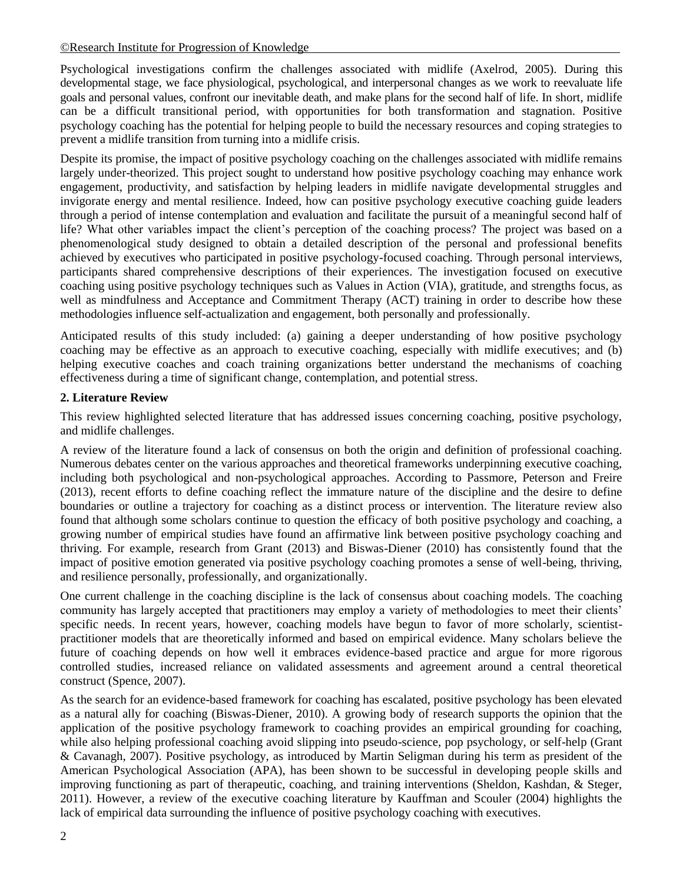#### [©Research Institute for Progression of Knowledge](http://www.ripknet.org/)

Psychological investigations confirm the challenges associated with midlife (Axelrod, 2005). During this developmental stage, we face physiological, psychological, and interpersonal changes as we work to reevaluate life goals and personal values, confront our inevitable death, and make plans for the second half of life. In short, midlife can be a difficult transitional period, with opportunities for both transformation and stagnation. Positive psychology coaching has the potential for helping people to build the necessary resources and coping strategies to prevent a midlife transition from turning into a midlife crisis.

Despite its promise, the impact of positive psychology coaching on the challenges associated with midlife remains largely under-theorized. This project sought to understand how positive psychology coaching may enhance work engagement, productivity, and satisfaction by helping leaders in midlife navigate developmental struggles and invigorate energy and mental resilience. Indeed, how can positive psychology executive coaching guide leaders through a period of intense contemplation and evaluation and facilitate the pursuit of a meaningful second half of life? What other variables impact the client's perception of the coaching process? The project was based on a phenomenological study designed to obtain a detailed description of the personal and professional benefits achieved by executives who participated in positive psychology-focused coaching. Through personal interviews, participants shared comprehensive descriptions of their experiences. The investigation focused on executive coaching using positive psychology techniques such as Values in Action (VIA), gratitude, and strengths focus, as well as mindfulness and Acceptance and Commitment Therapy (ACT) training in order to describe how these methodologies influence self-actualization and engagement, both personally and professionally.

Anticipated results of this study included: (a) gaining a deeper understanding of how positive psychology coaching may be effective as an approach to executive coaching, especially with midlife executives; and (b) helping executive coaches and coach training organizations better understand the mechanisms of coaching effectiveness during a time of significant change, contemplation, and potential stress.

#### **2. Literature Review**

This review highlighted selected literature that has addressed issues concerning coaching, positive psychology, and midlife challenges.

A review of the literature found a lack of consensus on both the origin and definition of professional coaching. Numerous debates center on the various approaches and theoretical frameworks underpinning executive coaching, including both psychological and non-psychological approaches. According to Passmore, Peterson and Freire (2013), recent efforts to define coaching reflect the immature nature of the discipline and the desire to define boundaries or outline a trajectory for coaching as a distinct process or intervention. The literature review also found that although some scholars continue to question the efficacy of both positive psychology and coaching, a growing number of empirical studies have found an affirmative link between positive psychology coaching and thriving. For example, research from Grant (2013) and Biswas-Diener (2010) has consistently found that the impact of positive emotion generated via positive psychology coaching promotes a sense of well-being, thriving, and resilience personally, professionally, and organizationally.

One current challenge in the coaching discipline is the lack of consensus about coaching models. The coaching community has largely accepted that practitioners may employ a variety of methodologies to meet their clients' specific needs. In recent years, however, coaching models have begun to favor of more scholarly, scientistpractitioner models that are theoretically informed and based on empirical evidence. Many scholars believe the future of coaching depends on how well it embraces evidence-based practice and argue for more rigorous controlled studies, increased reliance on validated assessments and agreement around a central theoretical construct (Spence, 2007).

As the search for an evidence-based framework for coaching has escalated, positive psychology has been elevated as a natural ally for coaching (Biswas-Diener, 2010). A growing body of research supports the opinion that the application of the positive psychology framework to coaching provides an empirical grounding for coaching, while also helping professional coaching avoid slipping into pseudo-science, pop psychology, or self-help (Grant & Cavanagh, 2007). Positive psychology, as introduced by Martin Seligman during his term as president of the American Psychological Association (APA), has been shown to be successful in developing people skills and improving functioning as part of therapeutic, coaching, and training interventions (Sheldon, Kashdan, & Steger, 2011). However, a review of the executive coaching literature by Kauffman and Scouler (2004) highlights the lack of empirical data surrounding the influence of positive psychology coaching with executives.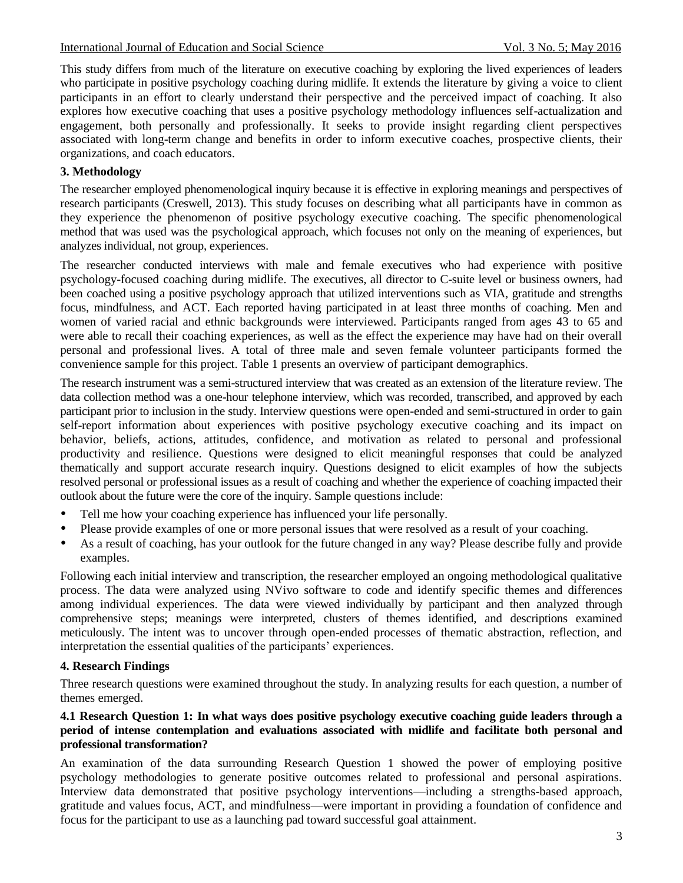This study differs from much of the literature on executive coaching by exploring the lived experiences of leaders who participate in positive psychology coaching during midlife. It extends the literature by giving a voice to client participants in an effort to clearly understand their perspective and the perceived impact of coaching. It also explores how executive coaching that uses a positive psychology methodology influences self-actualization and engagement, both personally and professionally. It seeks to provide insight regarding client perspectives associated with long-term change and benefits in order to inform executive coaches, prospective clients, their organizations, and coach educators.

# **3. Methodology**

The researcher employed phenomenological inquiry because it is effective in exploring meanings and perspectives of research participants (Creswell, 2013). This study focuses on describing what all participants have in common as they experience the phenomenon of positive psychology executive coaching. The specific phenomenological method that was used was the psychological approach, which focuses not only on the meaning of experiences, but analyzes individual, not group, experiences.

The researcher conducted interviews with male and female executives who had experience with positive psychology-focused coaching during midlife. The executives, all director to C-suite level or business owners, had been coached using a positive psychology approach that utilized interventions such as VIA, gratitude and strengths focus, mindfulness, and ACT. Each reported having participated in at least three months of coaching. Men and women of varied racial and ethnic backgrounds were interviewed. Participants ranged from ages 43 to 65 and were able to recall their coaching experiences, as well as the effect the experience may have had on their overall personal and professional lives. A total of three male and seven female volunteer participants formed the convenience sample for this project. Table 1 presents an overview of participant demographics.

The research instrument was a semi-structured interview that was created as an extension of the literature review. The data collection method was a one-hour telephone interview, which was recorded, transcribed, and approved by each participant prior to inclusion in the study. Interview questions were open-ended and semi-structured in order to gain self-report information about experiences with positive psychology executive coaching and its impact on behavior, beliefs, actions, attitudes, confidence, and motivation as related to personal and professional productivity and resilience. Questions were designed to elicit meaningful responses that could be analyzed thematically and support accurate research inquiry. Questions designed to elicit examples of how the subjects resolved personal or professional issues as a result of coaching and whether the experience of coaching impacted their outlook about the future were the core of the inquiry. Sample questions include:

- Tell me how your coaching experience has influenced your life personally.
- Please provide examples of one or more personal issues that were resolved as a result of your coaching.
- As a result of coaching, has your outlook for the future changed in any way? Please describe fully and provide examples.

Following each initial interview and transcription, the researcher employed an ongoing methodological qualitative process. The data were analyzed using NVivo software to code and identify specific themes and differences among individual experiences. The data were viewed individually by participant and then analyzed through comprehensive steps; meanings were interpreted, clusters of themes identified, and descriptions examined meticulously. The intent was to uncover through open-ended processes of thematic abstraction, reflection, and interpretation the essential qualities of the participants' experiences.

### **4. Research Findings**

Three research questions were examined throughout the study. In analyzing results for each question, a number of themes emerged.

#### **4.1 Research Question 1: In what ways does positive psychology executive coaching guide leaders through a period of intense contemplation and evaluations associated with midlife and facilitate both personal and professional transformation?**

An examination of the data surrounding Research Question 1 showed the power of employing positive psychology methodologies to generate positive outcomes related to professional and personal aspirations. Interview data demonstrated that positive psychology interventions—including a strengths-based approach, gratitude and values focus, ACT, and mindfulness—were important in providing a foundation of confidence and focus for the participant to use as a launching pad toward successful goal attainment.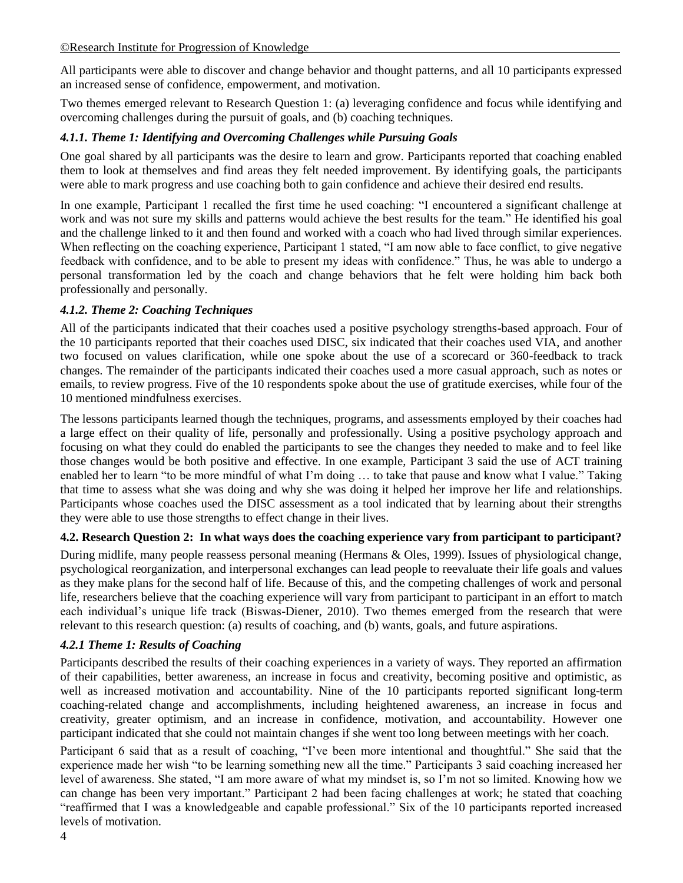All participants were able to discover and change behavior and thought patterns, and all 10 participants expressed an increased sense of confidence, empowerment, and motivation.

Two themes emerged relevant to Research Question 1: (a) leveraging confidence and focus while identifying and overcoming challenges during the pursuit of goals, and (b) coaching techniques.

### *4.1.1. Theme 1: Identifying and Overcoming Challenges while Pursuing Goals*

One goal shared by all participants was the desire to learn and grow. Participants reported that coaching enabled them to look at themselves and find areas they felt needed improvement. By identifying goals, the participants were able to mark progress and use coaching both to gain confidence and achieve their desired end results.

In one example, Participant 1 recalled the first time he used coaching: "I encountered a significant challenge at work and was not sure my skills and patterns would achieve the best results for the team." He identified his goal and the challenge linked to it and then found and worked with a coach who had lived through similar experiences. When reflecting on the coaching experience, Participant 1 stated, "I am now able to face conflict, to give negative feedback with confidence, and to be able to present my ideas with confidence." Thus, he was able to undergo a personal transformation led by the coach and change behaviors that he felt were holding him back both professionally and personally.

## *4.1.2. Theme 2: Coaching Techniques*

All of the participants indicated that their coaches used a positive psychology strengths-based approach. Four of the 10 participants reported that their coaches used DISC, six indicated that their coaches used VIA, and another two focused on values clarification, while one spoke about the use of a scorecard or 360-feedback to track changes. The remainder of the participants indicated their coaches used a more casual approach, such as notes or emails, to review progress. Five of the 10 respondents spoke about the use of gratitude exercises, while four of the 10 mentioned mindfulness exercises.

The lessons participants learned though the techniques, programs, and assessments employed by their coaches had a large effect on their quality of life, personally and professionally. Using a positive psychology approach and focusing on what they could do enabled the participants to see the changes they needed to make and to feel like those changes would be both positive and effective. In one example, Participant 3 said the use of ACT training enabled her to learn "to be more mindful of what I'm doing ... to take that pause and know what I value." Taking that time to assess what she was doing and why she was doing it helped her improve her life and relationships. Participants whose coaches used the DISC assessment as a tool indicated that by learning about their strengths they were able to use those strengths to effect change in their lives.

### **4.2. Research Question 2: In what ways does the coaching experience vary from participant to participant?**

During midlife, many people reassess personal meaning (Hermans & Oles, 1999). Issues of physiological change, psychological reorganization, and interpersonal exchanges can lead people to reevaluate their life goals and values as they make plans for the second half of life. Because of this, and the competing challenges of work and personal life, researchers believe that the coaching experience will vary from participant to participant in an effort to match each individual's unique life track (Biswas-Diener, 2010). Two themes emerged from the research that were relevant to this research question: (a) results of coaching, and (b) wants, goals, and future aspirations.

### *4.2.1 Theme 1: Results of Coaching*

Participants described the results of their coaching experiences in a variety of ways. They reported an affirmation of their capabilities, better awareness, an increase in focus and creativity, becoming positive and optimistic, as well as increased motivation and accountability. Nine of the 10 participants reported significant long-term coaching-related change and accomplishments, including heightened awareness, an increase in focus and creativity, greater optimism, and an increase in confidence, motivation, and accountability. However one participant indicated that she could not maintain changes if she went too long between meetings with her coach.

Participant 6 said that as a result of coaching, "I've been more intentional and thoughtful." She said that the experience made her wish "to be learning something new all the time." Participants 3 said coaching increased her level of awareness. She stated, "I am more aware of what my mindset is, so I'm not so limited. Knowing how we can change has been very important." Participant 2 had been facing challenges at work; he stated that coaching "reaffirmed that I was a knowledgeable and capable professional." Six of the 10 participants reported increased levels of motivation.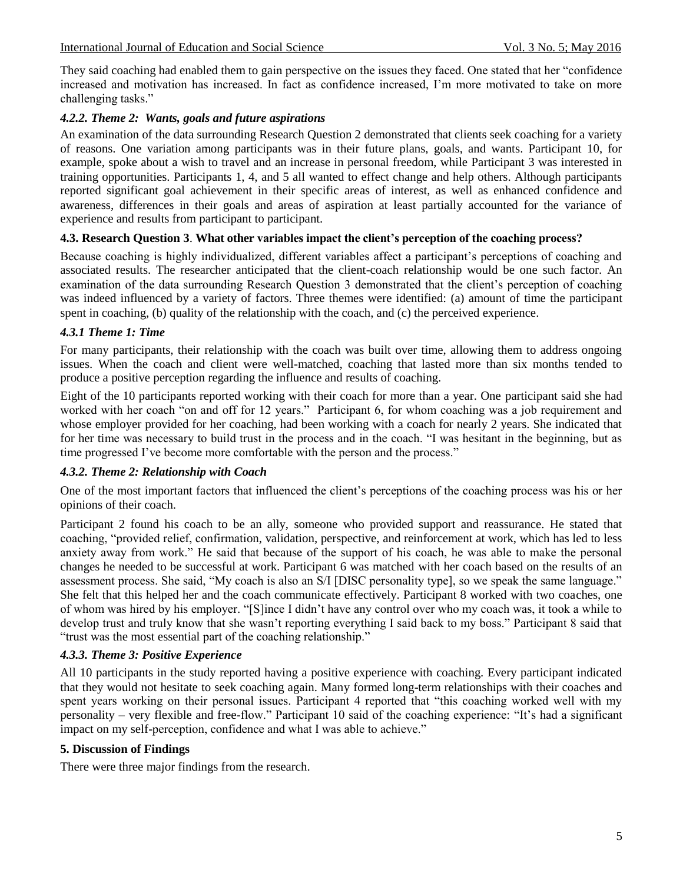They said coaching had enabled them to gain perspective on the issues they faced. One stated that her "confidence" increased and motivation has increased. In fact as confidence increased, I'm more motivated to take on more challenging tasks."

### *4.2.2. Theme 2: Wants, goals and future aspirations*

An examination of the data surrounding Research Question 2 demonstrated that clients seek coaching for a variety of reasons. One variation among participants was in their future plans, goals, and wants. Participant 10, for example, spoke about a wish to travel and an increase in personal freedom, while Participant 3 was interested in training opportunities. Participants 1, 4, and 5 all wanted to effect change and help others. Although participants reported significant goal achievement in their specific areas of interest, as well as enhanced confidence and awareness, differences in their goals and areas of aspiration at least partially accounted for the variance of experience and results from participant to participant.

### **4.3. Research Question 3**. **What other variables impact the client's perception of the coaching process?**

Because coaching is highly individualized, different variables affect a participant's perceptions of coaching and associated results. The researcher anticipated that the client-coach relationship would be one such factor. An examination of the data surrounding Research Question 3 demonstrated that the client's perception of coaching was indeed influenced by a variety of factors. Three themes were identified: (a) amount of time the participant spent in coaching, (b) quality of the relationship with the coach, and (c) the perceived experience.

## *4.3.1 Theme 1: Time*

For many participants, their relationship with the coach was built over time, allowing them to address ongoing issues. When the coach and client were well-matched, coaching that lasted more than six months tended to produce a positive perception regarding the influence and results of coaching.

Eight of the 10 participants reported working with their coach for more than a year. One participant said she had worked with her coach "on and off for 12 years." Participant 6, for whom coaching was a job requirement and whose employer provided for her coaching, had been working with a coach for nearly 2 years. She indicated that for her time was necessary to build trust in the process and in the coach. "I was hesitant in the beginning, but as time progressed I've become more comfortable with the person and the process."

# *4.3.2. Theme 2: Relationship with Coach*

One of the most important factors that influenced the client's perceptions of the coaching process was his or her opinions of their coach.

Participant 2 found his coach to be an ally, someone who provided support and reassurance. He stated that coaching, "provided relief, confirmation, validation, perspective, and reinforcement at work, which has led to less anxiety away from work." He said that because of the support of his coach, he was able to make the personal changes he needed to be successful at work. Participant 6 was matched with her coach based on the results of an assessment process. She said, "My coach is also an S/I [DISC personality type], so we speak the same language." She felt that this helped her and the coach communicate effectively. Participant 8 worked with two coaches, one of whom was hired by his employer. ―[S]ince I didn't have any control over who my coach was, it took a while to develop trust and truly know that she wasn't reporting everything I said back to my boss." Participant 8 said that "trust was the most essential part of the coaching relationship."

# *4.3.3. Theme 3: Positive Experience*

All 10 participants in the study reported having a positive experience with coaching. Every participant indicated that they would not hesitate to seek coaching again. Many formed long-term relationships with their coaches and spent years working on their personal issues. Participant 4 reported that "this coaching worked well with my personality – very flexible and free-flow." Participant 10 said of the coaching experience: "It's had a significant impact on my self-perception, confidence and what I was able to achieve."

### **5. Discussion of Findings**

There were three major findings from the research.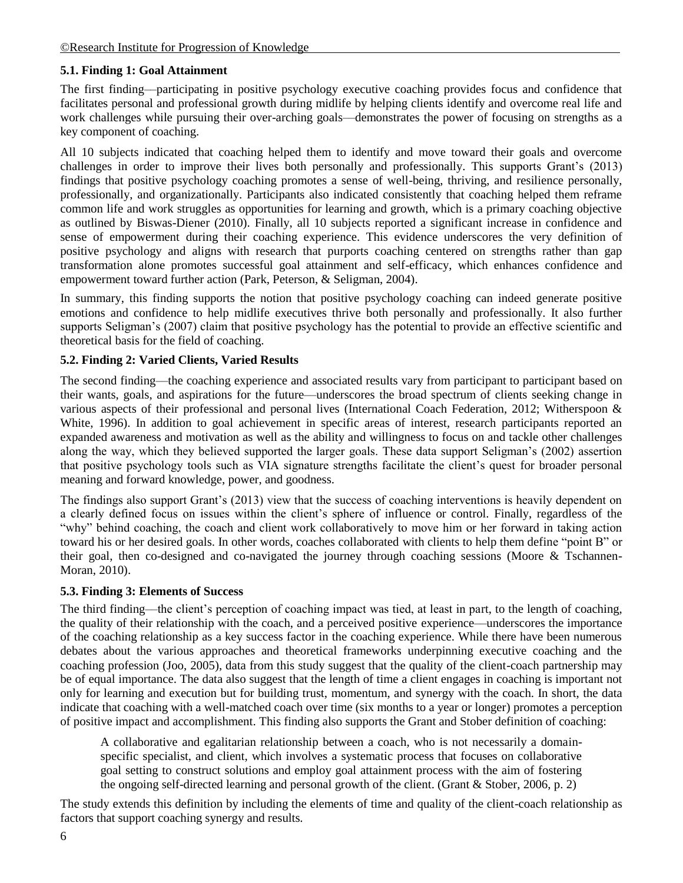## **5.1. Finding 1: Goal Attainment**

The first finding––participating in positive psychology executive coaching provides focus and confidence that facilitates personal and professional growth during midlife by helping clients identify and overcome real life and work challenges while pursuing their over-arching goals––demonstrates the power of focusing on strengths as a key component of coaching.

All 10 subjects indicated that coaching helped them to identify and move toward their goals and overcome challenges in order to improve their lives both personally and professionally. This supports Grant's (2013) findings that positive psychology coaching promotes a sense of well-being, thriving, and resilience personally, professionally, and organizationally. Participants also indicated consistently that coaching helped them reframe common life and work struggles as opportunities for learning and growth, which is a primary coaching objective as outlined by Biswas-Diener (2010). Finally, all 10 subjects reported a significant increase in confidence and sense of empowerment during their coaching experience. This evidence underscores the very definition of positive psychology and aligns with research that purports coaching centered on strengths rather than gap transformation alone promotes successful goal attainment and self-efficacy, which enhances confidence and empowerment toward further action (Park, Peterson, & Seligman, 2004).

In summary, this finding supports the notion that positive psychology coaching can indeed generate positive emotions and confidence to help midlife executives thrive both personally and professionally. It also further supports Seligman's (2007) claim that positive psychology has the potential to provide an effective scientific and theoretical basis for the field of coaching.

### **5.2. Finding 2: Varied Clients, Varied Results**

The second finding––the coaching experience and associated results vary from participant to participant based on their wants, goals, and aspirations for the future––underscores the broad spectrum of clients seeking change in various aspects of their professional and personal lives (International Coach Federation, 2012; Witherspoon & White, 1996). In addition to goal achievement in specific areas of interest, research participants reported an expanded awareness and motivation as well as the ability and willingness to focus on and tackle other challenges along the way, which they believed supported the larger goals. These data support Seligman's (2002) assertion that positive psychology tools such as VIA signature strengths facilitate the client's quest for broader personal meaning and forward knowledge, power, and goodness.

The findings also support Grant's (2013) view that the success of coaching interventions is heavily dependent on a clearly defined focus on issues within the client's sphere of influence or control. Finally, regardless of the "why" behind coaching, the coach and client work collaboratively to move him or her forward in taking action toward his or her desired goals. In other words, coaches collaborated with clients to help them define "point B" or their goal, then co-designed and co-navigated the journey through coaching sessions (Moore & Tschannen-Moran, 2010).

#### **5.3. Finding 3: Elements of Success**

The third finding––the client's perception of coaching impact was tied, at least in part, to the length of coaching, the quality of their relationship with the coach, and a perceived positive experience––underscores the importance of the coaching relationship as a key success factor in the coaching experience. While there have been numerous debates about the various approaches and theoretical frameworks underpinning executive coaching and the coaching profession (Joo, 2005), data from this study suggest that the quality of the client-coach partnership may be of equal importance. The data also suggest that the length of time a client engages in coaching is important not only for learning and execution but for building trust, momentum, and synergy with the coach. In short, the data indicate that coaching with a well-matched coach over time (six months to a year or longer) promotes a perception of positive impact and accomplishment. This finding also supports the Grant and Stober definition of coaching:

A collaborative and egalitarian relationship between a coach, who is not necessarily a domainspecific specialist, and client, which involves a systematic process that focuses on collaborative goal setting to construct solutions and employ goal attainment process with the aim of fostering the ongoing self-directed learning and personal growth of the client. (Grant & Stober, 2006, p. 2)

The study extends this definition by including the elements of time and quality of the client-coach relationship as factors that support coaching synergy and results.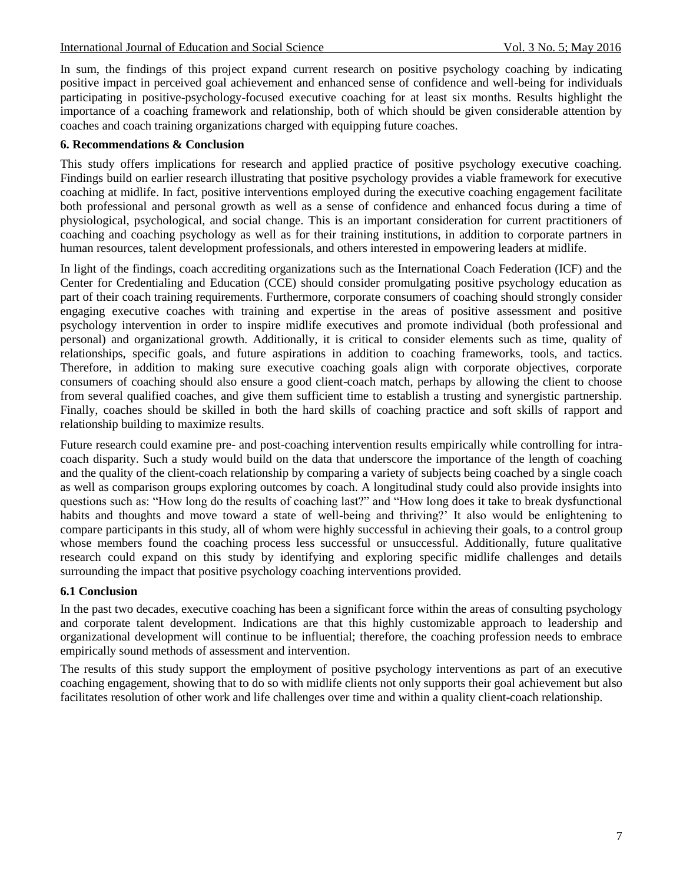In sum, the findings of this project expand current research on positive psychology coaching by indicating positive impact in perceived goal achievement and enhanced sense of confidence and well-being for individuals participating in positive-psychology-focused executive coaching for at least six months. Results highlight the importance of a coaching framework and relationship, both of which should be given considerable attention by coaches and coach training organizations charged with equipping future coaches.

#### **6. Recommendations & Conclusion**

This study offers implications for research and applied practice of positive psychology executive coaching. Findings build on earlier research illustrating that positive psychology provides a viable framework for executive coaching at midlife. In fact, positive interventions employed during the executive coaching engagement facilitate both professional and personal growth as well as a sense of confidence and enhanced focus during a time of physiological, psychological, and social change. This is an important consideration for current practitioners of coaching and coaching psychology as well as for their training institutions, in addition to corporate partners in human resources, talent development professionals, and others interested in empowering leaders at midlife.

In light of the findings, coach accrediting organizations such as the International Coach Federation (ICF) and the Center for Credentialing and Education (CCE) should consider promulgating positive psychology education as part of their coach training requirements. Furthermore, corporate consumers of coaching should strongly consider engaging executive coaches with training and expertise in the areas of positive assessment and positive psychology intervention in order to inspire midlife executives and promote individual (both professional and personal) and organizational growth. Additionally, it is critical to consider elements such as time, quality of relationships, specific goals, and future aspirations in addition to coaching frameworks, tools, and tactics. Therefore, in addition to making sure executive coaching goals align with corporate objectives, corporate consumers of coaching should also ensure a good client-coach match, perhaps by allowing the client to choose from several qualified coaches, and give them sufficient time to establish a trusting and synergistic partnership. Finally, coaches should be skilled in both the hard skills of coaching practice and soft skills of rapport and relationship building to maximize results.

Future research could examine pre- and post-coaching intervention results empirically while controlling for intracoach disparity. Such a study would build on the data that underscore the importance of the length of coaching and the quality of the client-coach relationship by comparing a variety of subjects being coached by a single coach as well as comparison groups exploring outcomes by coach. A longitudinal study could also provide insights into questions such as: "How long do the results of coaching last?" and "How long does it take to break dysfunctional habits and thoughts and move toward a state of well-being and thriving?' It also would be enlightening to compare participants in this study, all of whom were highly successful in achieving their goals, to a control group whose members found the coaching process less successful or unsuccessful. Additionally, future qualitative research could expand on this study by identifying and exploring specific midlife challenges and details surrounding the impact that positive psychology coaching interventions provided.

#### **6.1 Conclusion**

In the past two decades, executive coaching has been a significant force within the areas of consulting psychology and corporate talent development. Indications are that this highly customizable approach to leadership and organizational development will continue to be influential; therefore, the coaching profession needs to embrace empirically sound methods of assessment and intervention.

The results of this study support the employment of positive psychology interventions as part of an executive coaching engagement, showing that to do so with midlife clients not only supports their goal achievement but also facilitates resolution of other work and life challenges over time and within a quality client-coach relationship.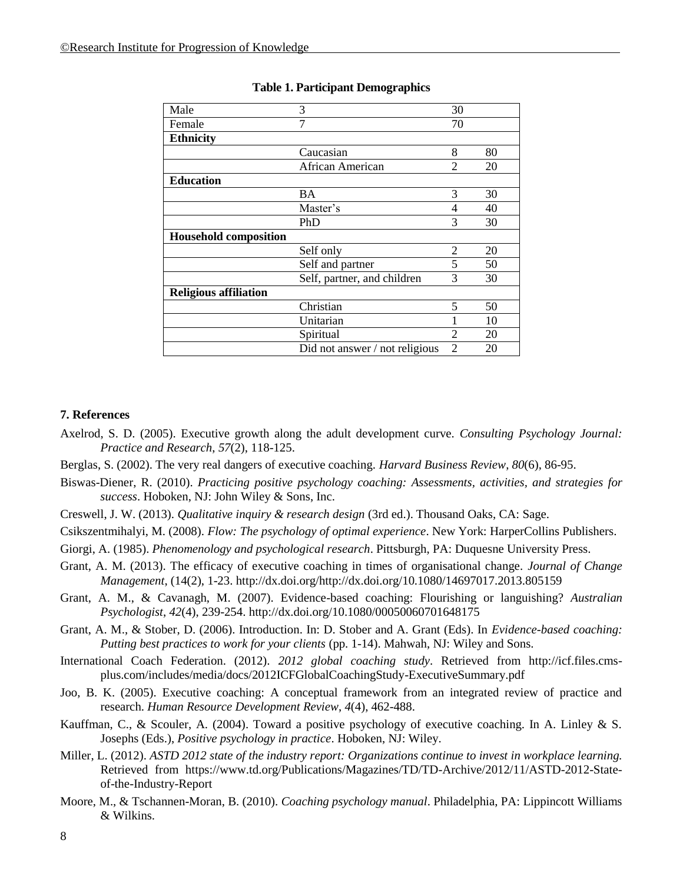| Male                         | 3                              | 30             |    |
|------------------------------|--------------------------------|----------------|----|
| Female                       | 7                              | 70             |    |
| <b>Ethnicity</b>             |                                |                |    |
|                              | Caucasian                      | 8              | 80 |
|                              | African American               | $\overline{2}$ | 20 |
| <b>Education</b>             |                                |                |    |
|                              | BA                             | 3              | 30 |
|                              | Master's                       | 4              | 40 |
|                              | PhD                            | 3              | 30 |
| <b>Household composition</b> |                                |                |    |
|                              | Self only                      | $\overline{2}$ | 20 |
|                              | Self and partner               | 5              | 50 |
|                              | Self, partner, and children    | 3              | 30 |
| <b>Religious affiliation</b> |                                |                |    |
|                              | Christian                      | 5              | 50 |
|                              | Unitarian                      |                | 10 |
|                              | Spiritual                      | 2              | 20 |
|                              | Did not answer / not religious | $\overline{2}$ | 20 |

#### **Table 1. Participant Demographics**

#### **7. References**

- Axelrod, S. D. (2005). Executive growth along the adult development curve. *Consulting Psychology Journal: Practice and Research*, *57*(2), 118-125.
- Berglas, S. (2002). The very real dangers of executive coaching. *Harvard Business Review*, *80*(6), 86-95.
- Biswas-Diener, R. (2010). *Practicing positive psychology coaching: Assessments, activities, and strategies for success*. Hoboken, NJ: John Wiley & Sons, Inc.
- Creswell, J. W. (2013). *Qualitative inquiry & research design* (3rd ed.). Thousand Oaks, CA: Sage.
- Csikszentmihalyi, M. (2008). *Flow: The psychology of optimal experience*. New York: HarperCollins Publishers.
- Giorgi, A. (1985). *Phenomenology and psychological research*. Pittsburgh, PA: Duquesne University Press.
- Grant, A. M. (2013). The efficacy of executive coaching in times of organisational change. *Journal of Change Management*, (14(2), 1-23. http://dx.doi.org/http://dx.doi.org/10.1080/14697017.2013.805159
- Grant, A. M., & Cavanagh, M. (2007). Evidence-based coaching: Flourishing or languishing? *Australian Psychologist*, *42*(4), 239-254. http://dx.doi.org/10.1080/00050060701648175
- Grant, A. M., & Stober, D. (2006). Introduction. In: D. Stober and A. Grant (Eds). In *Evidence-based coaching: Putting best practices to work for your clients* (pp. 1-14). Mahwah, NJ: Wiley and Sons.
- International Coach Federation. (2012). *2012 global coaching study*. Retrieved from http://icf.files.cmsplus.com/includes/media/docs/2012ICFGlobalCoachingStudy-ExecutiveSummary.pdf
- Joo, B. K. (2005). Executive coaching: A conceptual framework from an integrated review of practice and research. *Human Resource Development Review*, *4*(4), 462-488.
- Kauffman, C., & Scouler, A. (2004). Toward a positive psychology of executive coaching. In A. Linley & S. Josephs (Eds.), *Positive psychology in practice*. Hoboken, NJ: Wiley.
- Miller, L. (2012). *ASTD 2012 state of the industry report: Organizations continue to invest in workplace learning.*  Retrieved from https://www.td.org/Publications/Magazines/TD/TD-Archive/2012/11/ASTD-2012-Stateof-the-Industry-Report
- Moore, M., & Tschannen-Moran, B. (2010). *Coaching psychology manual*. Philadelphia, PA: Lippincott Williams & Wilkins.